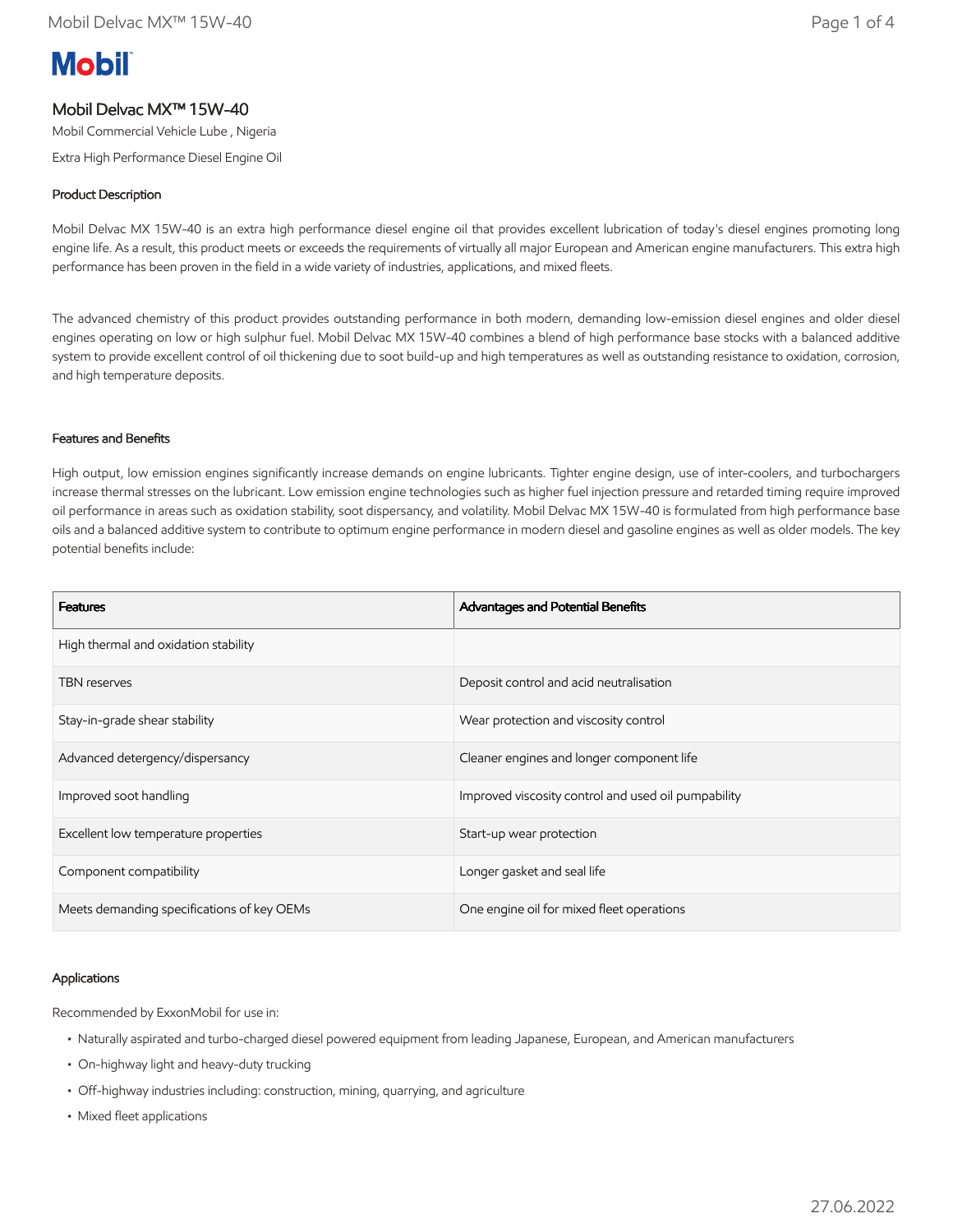# **Mobil**

# Mobil Delvac MX™ 15W-40

Mobil Commercial Vehicle Lube , Nigeria

Extra High Performance Diesel Engine Oil

## Product Description

Mobil Delvac MX 15W-40 is an extra high performance diesel engine oil that provides excellent lubrication of today's diesel engines promoting long engine life. As a result, this product meets or exceeds the requirements of virtually all major European and American engine manufacturers. This extra high performance has been proven in the field in a wide variety of industries, applications, and mixed fleets.

The advanced chemistry of this product provides outstanding performance in both modern, demanding low-emission diesel engines and older diesel engines operating on low or high sulphur fuel. Mobil Delvac MX 15W-40 combines a blend of high performance base stocks with a balanced additive system to provide excellent control of oil thickening due to soot build-up and high temperatures as well as outstanding resistance to oxidation, corrosion, and high temperature deposits.

#### Features and Benefits

High output, low emission engines significantly increase demands on engine lubricants. Tighter engine design, use of inter-coolers, and turbochargers increase thermal stresses on the lubricant. Low emission engine technologies such as higher fuel injection pressure and retarded timing require improved oil performance in areas such as oxidation stability, soot dispersancy, and volatility. Mobil Delvac MX 15W-40 is formulated from high performance base oils and a balanced additive system to contribute to optimum engine performance in modern diesel and gasoline engines as well as older models. The key potential benefits include:

| <b>Features</b>                            | Advantages and Potential Benefits                   |  |  |  |  |  |  |
|--------------------------------------------|-----------------------------------------------------|--|--|--|--|--|--|
| High thermal and oxidation stability       |                                                     |  |  |  |  |  |  |
| <b>TBN</b> reserves                        | Deposit control and acid neutralisation             |  |  |  |  |  |  |
| Stay-in-grade shear stability              | Wear protection and viscosity control               |  |  |  |  |  |  |
| Advanced detergency/dispersancy            | Cleaner engines and longer component life           |  |  |  |  |  |  |
| Improved soot handling                     | Improved viscosity control and used oil pumpability |  |  |  |  |  |  |
| Excellent low temperature properties       | Start-up wear protection                            |  |  |  |  |  |  |
| Component compatibility                    | Longer gasket and seal life                         |  |  |  |  |  |  |
| Meets demanding specifications of key OEMs | One engine oil for mixed fleet operations           |  |  |  |  |  |  |

#### Applications

Recommended by ExxonMobil for use in:

- Naturally aspirated and turbo-charged diesel powered equipment from leading Japanese, European, and American manufacturers
- On-highway light and heavy-duty trucking
- Off-highway industries including: construction, mining, quarrying, and agriculture
- Mixed fleet applications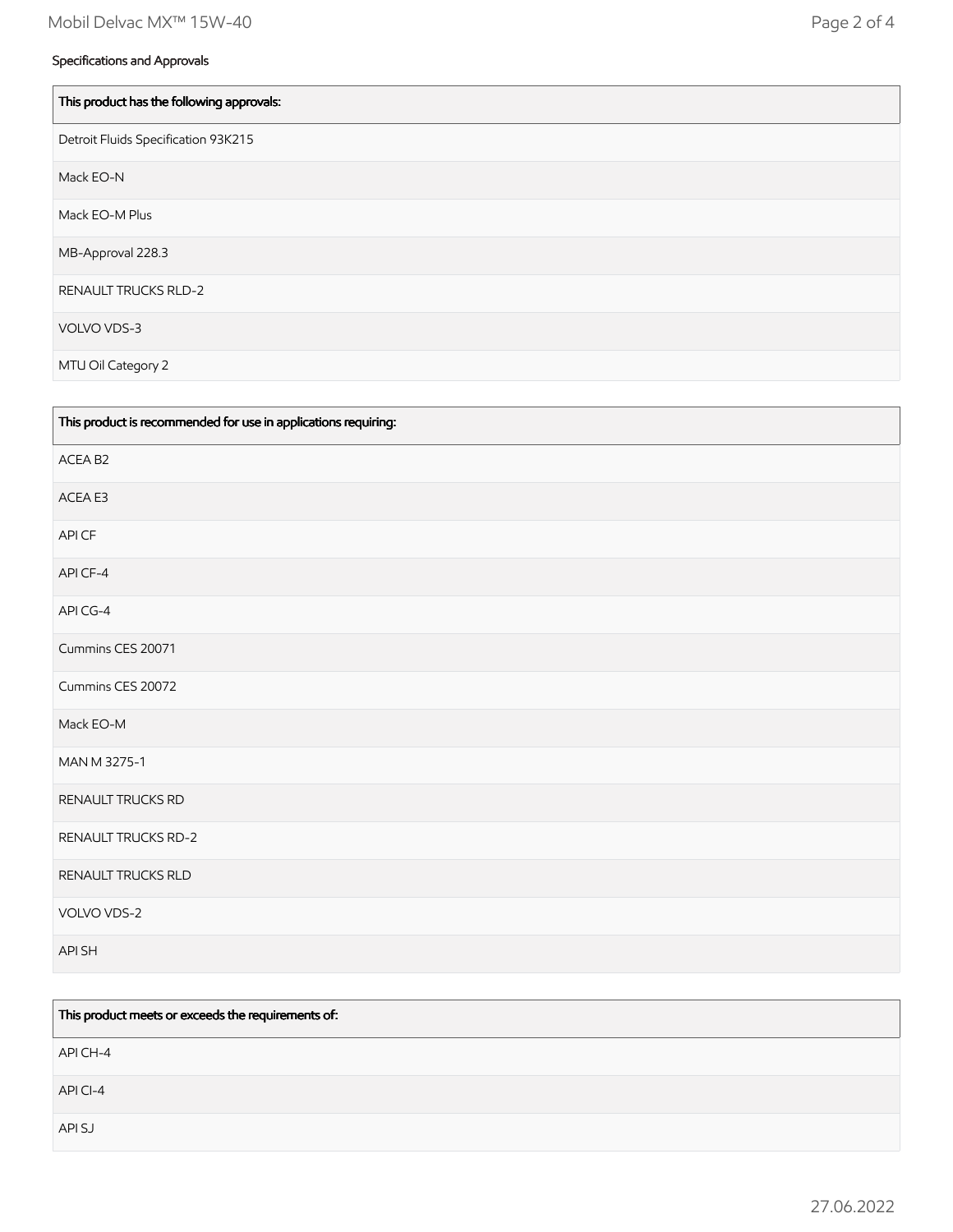| This product has the following approvals: |
|-------------------------------------------|
| Detroit Fluids Specification 93K215       |
| Mack EO-N                                 |
| Mack EO-M Plus                            |
| MB-Approval 228.3                         |
| <b>RENAULT TRUCKS RLD-2</b>               |
| VOLVO VDS-3                               |
| MTU Oil Category 2                        |

| This product is recommended for use in applications requiring: |
|----------------------------------------------------------------|
| ACEA B2                                                        |
| ACEA E3                                                        |
| API CF                                                         |
| API CF-4                                                       |
| API CG-4                                                       |
| Cummins CES 20071                                              |
| Cummins CES 20072                                              |
| Mack EO-M                                                      |
| MAN M 3275-1                                                   |
| RENAULT TRUCKS RD                                              |
| <b>RENAULT TRUCKS RD-2</b>                                     |
| RENAULT TRUCKS RLD                                             |
| VOLVO VDS-2                                                    |
| API SH                                                         |

| This product meets or exceeds the requirements of: |  |  |  |  |  |  |  |  |
|----------------------------------------------------|--|--|--|--|--|--|--|--|
| API CH-4                                           |  |  |  |  |  |  |  |  |
| API CI-4                                           |  |  |  |  |  |  |  |  |
| API SJ                                             |  |  |  |  |  |  |  |  |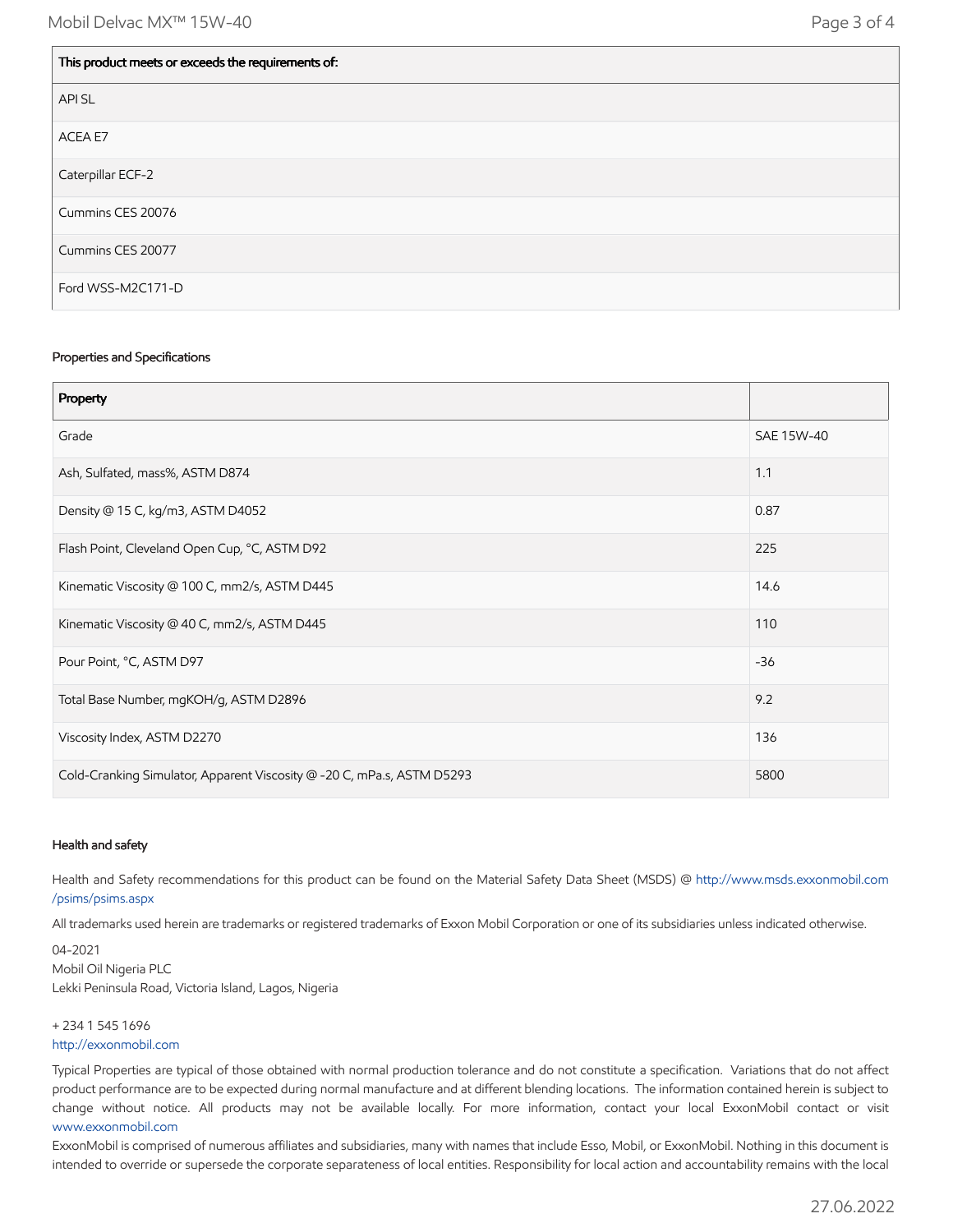| This product meets or exceeds the requirements of: |
|----------------------------------------------------|
| <b>APISL</b>                                       |
| ACEA E7                                            |
| Caterpillar ECF-2                                  |
| Cummins CES 20076                                  |
| Cummins CES 20077                                  |
| Ford WSS-M2C171-D                                  |

#### Properties and Specifications

| Property                                                               |            |
|------------------------------------------------------------------------|------------|
| Grade                                                                  | SAE 15W-40 |
| Ash, Sulfated, mass%, ASTM D874                                        | 1.1        |
| Density @ 15 C, kg/m3, ASTM D4052                                      | 0.87       |
| Flash Point, Cleveland Open Cup, °C, ASTM D92                          | 225        |
| Kinematic Viscosity @ 100 C, mm2/s, ASTM D445                          | 14.6       |
| Kinematic Viscosity @ 40 C, mm2/s, ASTM D445                           | 110        |
| Pour Point, °C, ASTM D97                                               | $-36$      |
| Total Base Number, mgKOH/g, ASTM D2896                                 | 9.2        |
| Viscosity Index, ASTM D2270                                            | 136        |
| Cold-Cranking Simulator, Apparent Viscosity @ -20 C, mPa.s, ASTM D5293 | 5800       |

## Health and safety

Health and Safety recommendations for this product can be found on the Material Safety Data Sheet (MSDS) @ [http://www.msds.exxonmobil.com](http://www.msds.exxonmobil.com/psims/psims.aspx) /psims/psims.aspx

All trademarks used herein are trademarks or registered trademarks of Exxon Mobil Corporation or one of its subsidiaries unless indicated otherwise.

04-2021 Mobil Oil Nigeria PLC Lekki Peninsula Road, Victoria Island, Lagos, Nigeria

+ 234 1 545 1696 [http://exxonmobil.com](http://exxonmobil.com/)

Typical Properties are typical of those obtained with normal production tolerance and do not constitute a specification. Variations that do not affect product performance are to be expected during normal manufacture and at different blending locations. The information contained herein is subject to change without notice. All products may not be available locally. For more information, contact your local ExxonMobil contact or visit [www.exxonmobil.com](http://www.exxonmobil.com/)

ExxonMobil is comprised of numerous affiliates and subsidiaries, many with names that include Esso, Mobil, or ExxonMobil. Nothing in this document is intended to override or supersede the corporate separateness of local entities. Responsibility for local action and accountability remains with the local